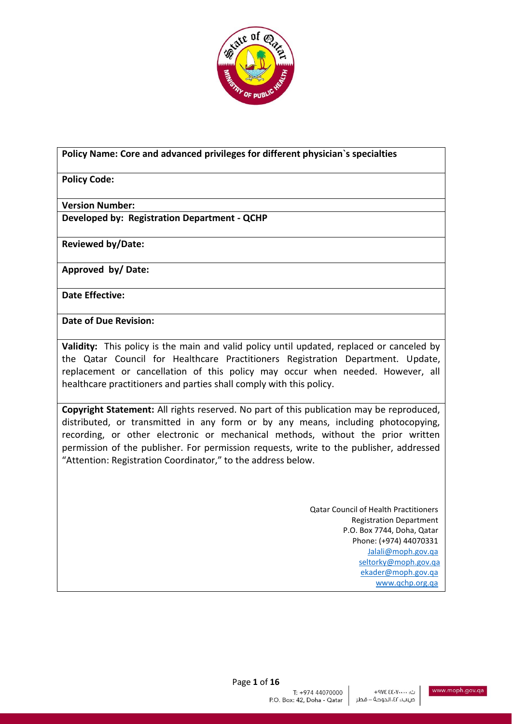

#### **Policy Name: Core and advanced privileges for different physician`s specialties**

### **Policy Code:**

#### **Version Number:**

**Developed by: Registration Department - QCHP**

**Reviewed by/Date:** 

**Approved by/ Date:** 

**Date Effective:** 

**Date of Due Revision:** 

**Validity:** This policy is the main and valid policy until updated, replaced or canceled by the Qatar Council for Healthcare Practitioners Registration Department. Update, replacement or cancellation of this policy may occur when needed. However, all healthcare practitioners and parties shall comply with this policy.

**Copyright Statement:** All rights reserved. No part of this publication may be reproduced, distributed, or transmitted in any form or by any means, including photocopying, recording, or other electronic or mechanical methods, without the prior written permission of the publisher. For permission requests, write to the publisher, addressed "Attention: Registration Coordinator," to the address below.

> Qatar Council of Health Practitioners Registration Department P.O. Box 7744, Doha, Qatar Phone: (+974) 44070331 [Jalali@moph.gov.qa](mailto:Jalali@moph.gov.qa) [seltorky@moph.gov.qa](mailto:seltorky@moph.gov.qa) [ekader@moph.gov.qa](mailto:ekader@moph.gov.qa) [www.qchp.org.qa](http://www.qchp.org.qa/)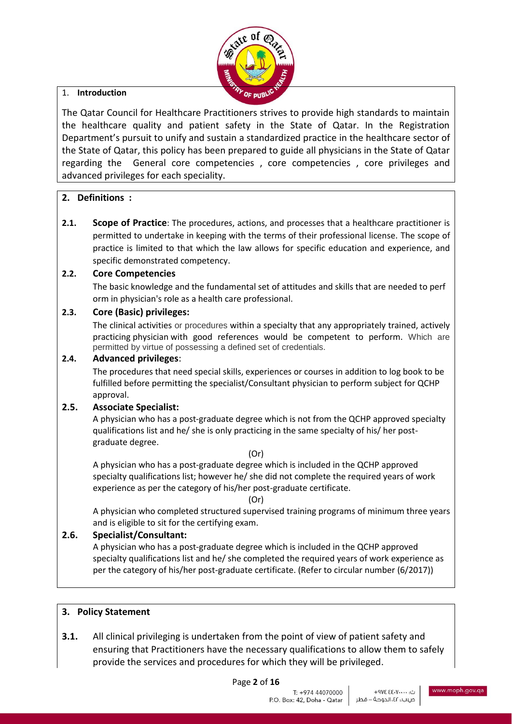

### 1. **Introduction**

The Qatar Council for Healthcare Practitioners strives to provide high standards to maintain the healthcare quality and patient safety in the State of Qatar. In the Registration Department's pursuit to unify and sustain a standardized practice in the healthcare sector of the State of Qatar, this policy has been prepared to guide all physicians in the State of Qatar regarding the General core competencies , core competencies , core privileges and advanced privileges for each speciality.

### **2. Definitions :**

**2.1. Scope of Practice**: The procedures, actions, and processes that a healthcare practitioner is permitted to undertake in keeping with the terms of their professional license. The scope of practice is limited to that which the law allows for specific education and experience, and specific demonstrated competency.

### **2.2. Core Competencies**

The basic knowledge and the fundamental set of attitudes and skills that are needed to perf orm in physician's role as a health care professional.

### **2.3. Core (Basic) privileges:**

The clinical activities or procedures within a specialty that any appropriately trained, actively practicing physician with good references would be competent to perform. Which are permitted by virtue of possessing a defined set of credentials.

#### **2.4. Advanced privileges**:

The procedures that need special skills, experiences or courses in addition to log book to be fulfilled before permitting the specialist/Consultant physician to perform subject for QCHP approval.

#### **2.5. Associate Specialist:**

A physician who has a post-graduate degree which is not from the QCHP approved specialty qualifications list and he/ she is only practicing in the same specialty of his/ her postgraduate degree.

#### (Or)

A physician who has a post-graduate degree which is included in the QCHP approved specialty qualifications list; however he/ she did not complete the required years of work experience as per the category of his/her post-graduate certificate.

#### (Or)

A physician who completed structured supervised training programs of minimum three years and is eligible to sit for the certifying exam.

#### **2.6. Specialist/Consultant:**

A physician who has a post-graduate degree which is included in the QCHP approved specialty qualifications list and he/ she completed the required years of work experience as per the category of his/her post-graduate certificate. (Refer to circular number (6/2017))

#### **3. Policy Statement**

**3.1.** All clinical privileging is undertaken from the point of view of patient safety and ensuring that Practitioners have the necessary qualifications to allow them to safely provide the services and procedures for which they will be privileged.

Page **2** of **16**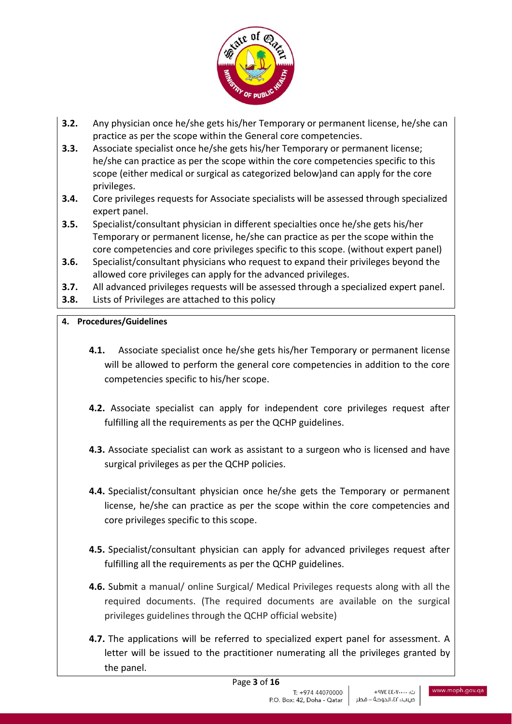

- **3.2.** Any physician once he/she gets his/her Temporary or permanent license, he/she can practice as per the scope within the General core competencies.
- **3.3.** Associate specialist once he/she gets his/her Temporary or permanent license; he/she can practice as per the scope within the core competencies specific to this scope (either medical or surgical as categorized below)and can apply for the core privileges.
- **3.4.** Core privileges requests for Associate specialists will be assessed through specialized expert panel.
- **3.5.** Specialist/consultant physician in different specialties once he/she gets his/her Temporary or permanent license, he/she can practice as per the scope within the core competencies and core privileges specific to this scope. (without expert panel)
- **3.6.** Specialist/consultant physicians who request to expand their privileges beyond the allowed core privileges can apply for the advanced privileges.
- **3.7.** All advanced privileges requests will be assessed through a specialized expert panel.
- **3.8.** Lists of Privileges are attached to this policy

### **4. Procedures/Guidelines**

- **4.1.** Associate specialist once he/she gets his/her Temporary or permanent license will be allowed to perform the general core competencies in addition to the core competencies specific to his/her scope.
- **4.2.** Associate specialist can apply for independent core privileges request after fulfilling all the requirements as per the QCHP guidelines.
- **4.3.** Associate specialist can work as assistant to a surgeon who is licensed and have surgical privileges as per the QCHP policies.
- **4.4.** Specialist/consultant physician once he/she gets the Temporary or permanent license, he/she can practice as per the scope within the core competencies and core privileges specific to this scope.
- **4.5.** Specialist/consultant physician can apply for advanced privileges request after fulfilling all the requirements as per the QCHP guidelines.
- **4.6.** Submit a manual/ online Surgical/ Medical Privileges requests along with all the required documents. (The required documents are available on the surgical privileges guidelines through the QCHP official website)
- **4.7.** The applications will be referred to specialized expert panel for assessment. A letter will be issued to the practitioner numerating all the privileges granted by the panel.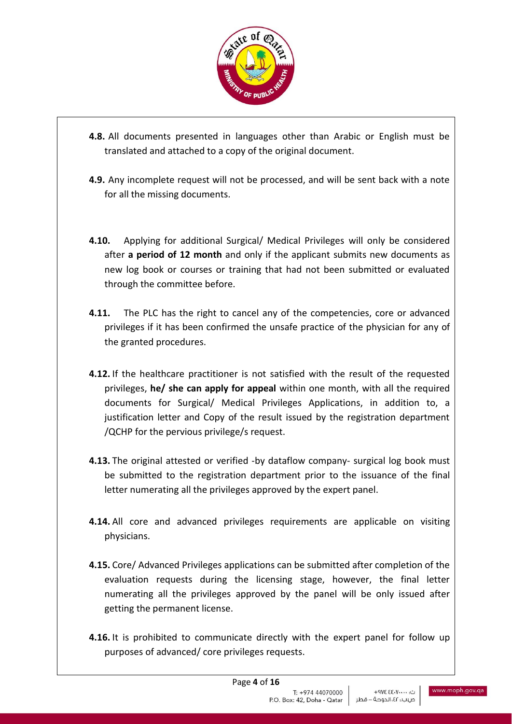

- **4.8.** All documents presented in languages other than Arabic or English must be translated and attached to a copy of the original document.
- **4.9.** Any incomplete request will not be processed, and will be sent back with a note for all the missing documents.
- **4.10.** Applying for additional Surgical/ Medical Privileges will only be considered after **a period of 12 month** and only if the applicant submits new documents as new log book or courses or training that had not been submitted or evaluated through the committee before.
- **4.11.** The PLC has the right to cancel any of the competencies, core or advanced privileges if it has been confirmed the unsafe practice of the physician for any of the granted procedures.
- **4.12.** If the healthcare practitioner is not satisfied with the result of the requested privileges, **he/ she can apply for appeal** within one month, with all the required documents for Surgical/ Medical Privileges Applications, in addition to, a justification letter and Copy of the result issued by the registration department /QCHP for the pervious privilege/s request.
- **4.13.** The original attested or verified -by dataflow company- surgical log book must be submitted to the registration department prior to the issuance of the final letter numerating all the privileges approved by the expert panel.
- **4.14.** All core and advanced privileges requirements are applicable on visiting physicians.
- **4.15.** Core/ Advanced Privileges applications can be submitted after completion of the evaluation requests during the licensing stage, however, the final letter numerating all the privileges approved by the panel will be only issued after getting the permanent license.
- **4.16.** It is prohibited to communicate directly with the expert panel for follow up purposes of advanced/ core privileges requests.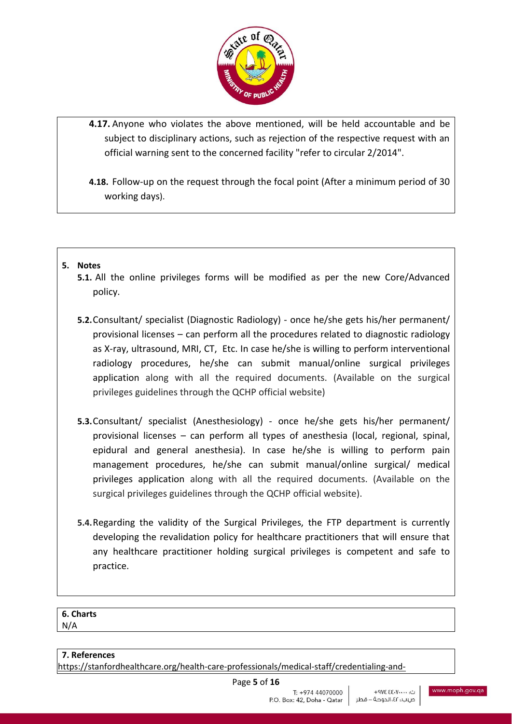

**4.17.** Anyone who violates the above mentioned, will be held accountable and be subject to disciplinary actions, such as rejection of the respective request with an official warning sent to the concerned facility "refer to circular 2/2014".

**4.18.** Follow-up on the request through the focal point (After a minimum period of 30 working days).

### **5. Notes**

- **5.1.** All the online privileges forms will be modified as per the new Core/Advanced policy.
- **5.2.**Consultant/ specialist (Diagnostic Radiology) once he/she gets his/her permanent/ provisional licenses – can perform all the procedures related to diagnostic radiology as X-ray, ultrasound, MRI, CT, Etc. In case he/she is willing to perform interventional radiology procedures, he/she can submit manual/online surgical privileges application along with all the required documents. (Available on the surgical privileges guidelines through the QCHP official website)
- **5.3.**Consultant/ specialist (Anesthesiology) once he/she gets his/her permanent/ provisional licenses – can perform all types of anesthesia (local, regional, spinal, epidural and general anesthesia). In case he/she is willing to perform pain management procedures, he/she can submit manual/online surgical/ medical privileges application along with all the required documents. (Available on the surgical privileges guidelines through the QCHP official website).
- **5.4.**Regarding the validity of the Surgical Privileges, the FTP department is currently developing the revalidation policy for healthcare practitioners that will ensure that any healthcare practitioner holding surgical privileges is competent and safe to practice.

#### **6. Charts** N/A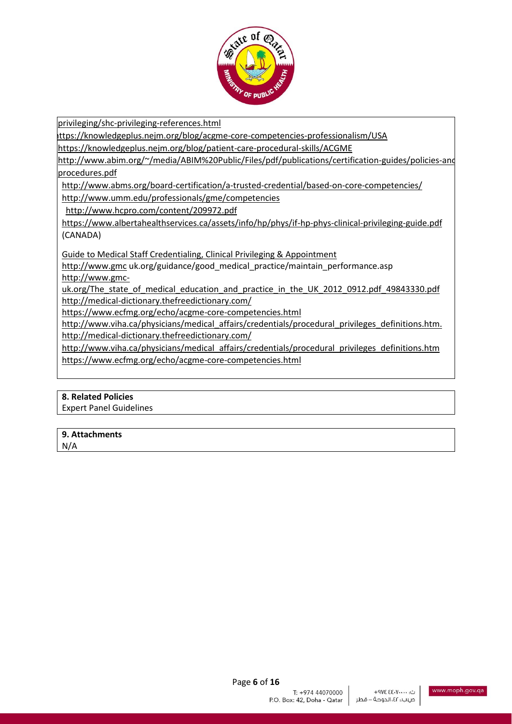

[privileging/shc-privileging-references.html](https://stanfordhealthcare.org/health-care-professionals/medical-staff/credentialing-and-privileging/shc-privileging-references.html)

ttps://knowledgeplus.nejm.org/blog/acgme-core-competencies-professionalism/USA

<https://knowledgeplus.nejm.org/blog/patient-care-procedural-skills/ACGME>

http://www.abim.org/~/media/ABIM%20Public/Files/pdf/publications/certification-guides/policies-and [procedures.pdf](http://www.abim.org/~/media/ABIM%20Public/Files/pdf/publications/certification-guides/policies-and-procedures.pdf)

5- <http://www.abms.org/board-certification/a-trusted-credential/based-on-core-competencies/>

<http://www.umm.edu/professionals/gme/competencies>

<http://www.hcpro.com/content/209972.pdf>

https://www.albertahealthservices.ca/assets/info/hp/phys/if-hp-phys-clinical-privileging-guide.pdf (CANADA)

[Guide to Medical Staff Credentialing, Clinical Privileging & Appointment](https://www.google.com/url?sa=t&rct=j&q=&esrc=s&source=web&cd=1&cad=rja&uact=8&ved=0ahUKEwiC37y1uJHXAhWEXRQKHYEHBoQQFggkMAA&url=https%3A%2F%2Fwww.albertahealthservices.ca%2Fassets%2Finfo%2Fhp%2Fphys%2Fif-hp-phys-clinical-privileging-guide.pdf&usg=AOvVaw0kygnalsXzD-YlVSXkU0rT)

[http://www.gmc](http://www.gmc/) uk.org/guidance/good\_medical\_practice/maintain\_performance.asp [http://www.gmc-](http://www.gmc-uk.org/The_state_of_medical_education_and_practice_in_the_UK_2012_0912.pdf_49843330.pdf)

[uk.org/The\\_state\\_of\\_medical\\_education\\_and\\_practice\\_in\\_the\\_UK\\_2012\\_0912.pdf\\_49843330.pdf](http://www.gmc-uk.org/The_state_of_medical_education_and_practice_in_the_UK_2012_0912.pdf_49843330.pdf) <http://medical-dictionary.thefreedictionary.com/>

<https://www.ecfmg.org/echo/acgme-core-competencies.html>

[http://www.viha.ca/physicians/medical\\_affairs/credentials/procedural\\_privileges\\_definitions.htm.](http://www.viha.ca/physicians/medical_affairs/credentials/procedural_privileges_definitions.htm) <http://medical-dictionary.thefreedictionary.com/>

[http://www.viha.ca/physicians/medical\\_affairs/credentials/procedural\\_privileges\\_definitions.htm](http://www.viha.ca/physicians/medical_affairs/credentials/procedural_privileges_definitions.htm) <https://www.ecfmg.org/echo/acgme-core-competencies.html>

#### **8. Related Policies**

Expert Panel Guidelines

**9. Attachments** N/A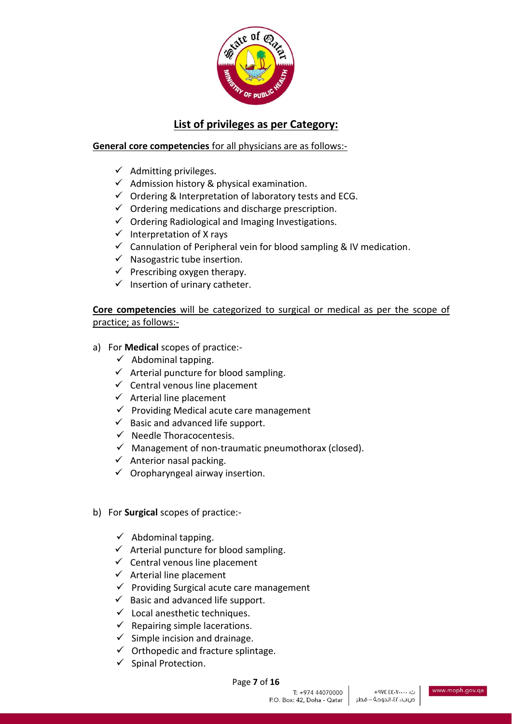

# **List of privileges as per Category:**

# **General core competencies** for all physicians are as follows:-

- $\checkmark$  Admitting privileges.
- $\checkmark$  Admission history & physical examination.
- $\checkmark$  Ordering & Interpretation of laboratory tests and ECG.
- $\checkmark$  Ordering medications and discharge prescription.
- $\checkmark$  Ordering Radiological and Imaging Investigations.
- $\checkmark$  Interpretation of X rays
- $\checkmark$  Cannulation of Peripheral vein for blood sampling & IV medication.
- $\checkmark$  Nasogastric tube insertion.
- $\checkmark$  Prescribing oxygen therapy.
- $\checkmark$  Insertion of urinary catheter.

**Core competencies** will be categorized to surgical or medical as per the scope of practice; as follows:-

- a) For **Medical** scopes of practice:-
	- $\checkmark$  Abdominal tapping.
	- $\checkmark$  Arterial puncture for blood sampling.
	- $\checkmark$  Central venous line placement
	- $\checkmark$  Arterial line placement
	- $\checkmark$  Providing Medical acute care management
	- $\checkmark$  Basic and advanced life support.
	- ✓ Needle Thoracocentesis.
	- $\checkmark$  Management of non-traumatic pneumothorax (closed).
	- $\checkmark$  Anterior nasal packing.
	- $\checkmark$  Oropharyngeal airway insertion.
- b) For **Surgical** scopes of practice:-
	- $\checkmark$  Abdominal tapping.
	- $\checkmark$  Arterial puncture for blood sampling.
	- $\checkmark$  Central venous line placement
	- $\checkmark$  Arterial line placement
	- $\checkmark$  Providing Surgical acute care management
	- $\checkmark$  Basic and advanced life support.
	- $\checkmark$  Local anesthetic techniques.
	- $\checkmark$  Repairing simple lacerations.
	- $\checkmark$  Simple incision and drainage.
	- $\checkmark$  Orthopedic and fracture splintage.
	- ✓ Spinal Protection.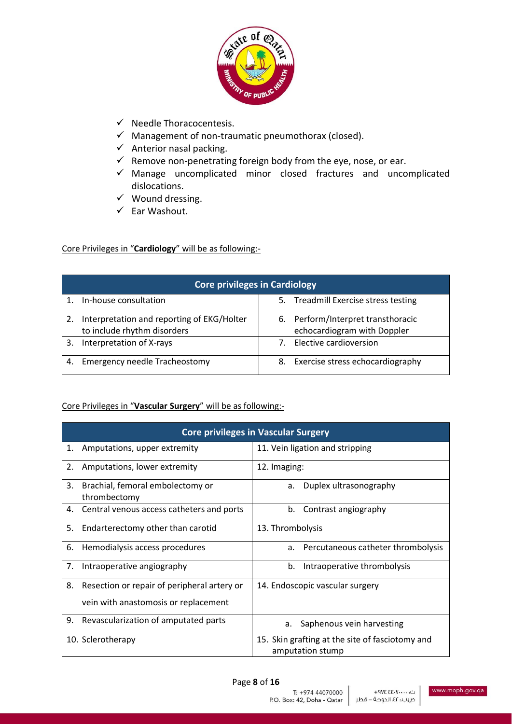

- ✓ Needle Thoracocentesis.
- $\checkmark$  Management of non-traumatic pneumothorax (closed).
- $\checkmark$  Anterior nasal packing.
- $\checkmark$  Remove non-penetrating foreign body from the eye, nose, or ear.
- ✓ Manage uncomplicated minor closed fractures and uncomplicated dislocations.
- ✓ Wound dressing.
- ✓ Ear Washout.

### Core Privileges in "**Cardiology**" will be as following:-

| <b>Core privileges in Cardiology</b> |                                                                           |    |                                                                   |
|--------------------------------------|---------------------------------------------------------------------------|----|-------------------------------------------------------------------|
|                                      | In-house consultation                                                     |    | 5. Treadmill Exercise stress testing                              |
| 2.                                   | Interpretation and reporting of EKG/Holter<br>to include rhythm disorders |    | 6. Perform/Interpret transthoracic<br>echocardiogram with Doppler |
| 3.                                   | Interpretation of X-rays                                                  |    | Elective cardioversion                                            |
| 4.                                   | <b>Emergency needle Tracheostomy</b>                                      | 8. | Exercise stress echocardiography                                  |

### Core Privileges in "**Vascular Surgery**" will be as following:-

|    | <b>Core privileges in Vascular Surgery</b>       |                                                                     |  |  |
|----|--------------------------------------------------|---------------------------------------------------------------------|--|--|
| 1. | Amputations, upper extremity                     | 11. Vein ligation and stripping                                     |  |  |
| 2. | Amputations, lower extremity                     | 12. Imaging:                                                        |  |  |
| 3. | Brachial, femoral embolectomy or<br>thrombectomy | Duplex ultrasonography<br>a.                                        |  |  |
| 4. | Central venous access catheters and ports        | Contrast angiography<br>b.                                          |  |  |
| 5. | Endarterectomy other than carotid                | 13. Thrombolysis                                                    |  |  |
| 6. | Hemodialysis access procedures                   | a. Percutaneous catheter thrombolysis                               |  |  |
| 7. | Intraoperative angiography                       | b.<br>Intraoperative thrombolysis                                   |  |  |
| 8. | Resection or repair of peripheral artery or      | 14. Endoscopic vascular surgery                                     |  |  |
|    | vein with anastomosis or replacement             |                                                                     |  |  |
| 9. | Revascularization of amputated parts             | Saphenous vein harvesting<br>а.                                     |  |  |
|    | 10. Sclerotherapy                                | 15. Skin grafting at the site of fasciotomy and<br>amputation stump |  |  |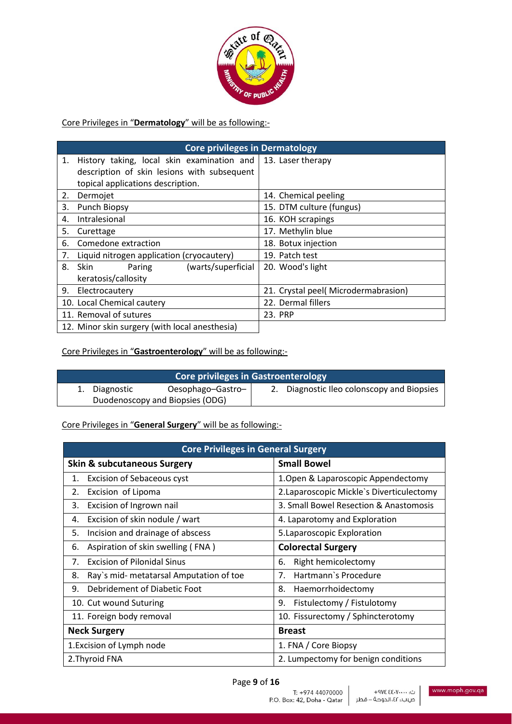

Core Privileges in "**Dermatology**" will be as following:-

|    | <b>Core privileges in Dermatology</b>                          |                                     |  |  |
|----|----------------------------------------------------------------|-------------------------------------|--|--|
| 1. | History taking, local skin examination and   13. Laser therapy |                                     |  |  |
|    | description of skin lesions with subsequent                    |                                     |  |  |
|    | topical applications description.                              |                                     |  |  |
| 2. | Dermojet                                                       | 14. Chemical peeling                |  |  |
| 3. | Punch Biopsy                                                   | 15. DTM culture (fungus)            |  |  |
| 4. | Intralesional                                                  | 16. KOH scrapings                   |  |  |
| 5. | Curettage                                                      | 17. Methylin blue                   |  |  |
| 6. | Comedone extraction                                            | 18. Botux injection                 |  |  |
| 7. | Liquid nitrogen application (cryocautery)                      | 19. Patch test                      |  |  |
|    | 8. Skin<br>(warts/superficial<br>Paring                        | 20. Wood's light                    |  |  |
|    | keratosis/callosity                                            |                                     |  |  |
| 9. | Electrocautery                                                 | 21. Crystal peel(Microdermabrasion) |  |  |
|    | 10. Local Chemical cautery                                     | 22. Dermal fillers                  |  |  |
|    | 11. Removal of sutures                                         | 23. PRP                             |  |  |
|    | 12. Minor skin surgery (with local anesthesia)                 |                                     |  |  |

Core Privileges in "**Gastroenterology**" will be as following:-

| Core privileges in Gastroenterology |                                 |                   |  |                                            |
|-------------------------------------|---------------------------------|-------------------|--|--------------------------------------------|
|                                     | 1. Diagnostic                   | Oesophago-Gastro- |  | 2. Diagnostic Ileo colonscopy and Biopsies |
|                                     | Duodenoscopy and Biopsies (ODG) |                   |  |                                            |

Core Privileges in "**General Surgery**" will be as following:-

| <b>Core Privileges in General Surgery</b> |                                         |                                           |
|-------------------------------------------|-----------------------------------------|-------------------------------------------|
|                                           | <b>Skin &amp; subcutaneous Surgery</b>  | <b>Small Bowel</b>                        |
| 1.                                        | <b>Excision of Sebaceous cyst</b>       | 1. Open & Laparoscopic Appendectomy       |
| 2.                                        | Excision of Lipoma                      | 2. Laparoscopic Mickle's Diverticulectomy |
| 3.                                        | Excision of Ingrown nail                | 3. Small Bowel Resection & Anastomosis    |
| 4.                                        | Excision of skin nodule / wart          | 4. Laparotomy and Exploration             |
| 5.                                        | Incision and drainage of abscess        | 5. Laparoscopic Exploration               |
| 6.                                        | Aspiration of skin swelling (FNA)       | <b>Colorectal Surgery</b>                 |
| 7.                                        | <b>Excision of Pilonidal Sinus</b>      | Right hemicolectomy<br>6.                 |
| 8.                                        | Ray's mid- metatarsal Amputation of toe | Hartmann's Procedure<br>7.                |
| 9.                                        | Debridement of Diabetic Foot            | 8.<br>Haemorrhoidectomy                   |
|                                           | 10. Cut wound Suturing                  | 9.<br>Fistulectomy / Fistulotomy          |
| 11. Foreign body removal                  |                                         | 10. Fissurectomy / Sphincterotomy         |
| <b>Neck Surgery</b>                       |                                         | <b>Breast</b>                             |
| 1. Excision of Lymph node                 |                                         | 1. FNA / Core Biopsy                      |
| 2. Thyroid FNA                            |                                         | 2. Lumpectomy for benign conditions       |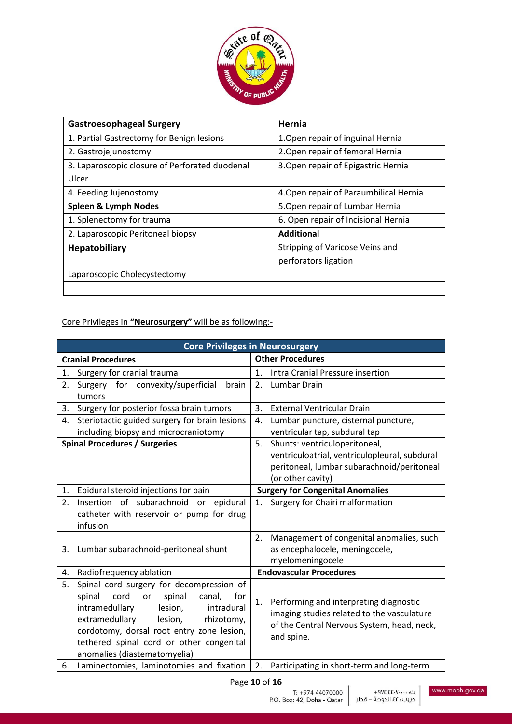

| <b>Gastroesophageal Surgery</b>                | Hernia                                 |
|------------------------------------------------|----------------------------------------|
| 1. Partial Gastrectomy for Benign lesions      | 1. Open repair of inguinal Hernia      |
| 2. Gastrojejunostomy                           | 2. Open repair of femoral Hernia       |
| 3. Laparoscopic closure of Perforated duodenal | 3. Open repair of Epigastric Hernia    |
| Ulcer                                          |                                        |
| 4. Feeding Jujenostomy                         | 4. Open repair of Paraumbilical Hernia |
| <b>Spleen &amp; Lymph Nodes</b>                | 5. Open repair of Lumbar Hernia        |
| 1. Splenectomy for trauma                      | 6. Open repair of Incisional Hernia    |
| 2. Laparoscopic Peritoneal biopsy              | <b>Additional</b>                      |
| <b>Hepatobiliary</b>                           | Stripping of Varicose Veins and        |
|                                                | perforators ligation                   |
| Laparoscopic Cholecystectomy                   |                                        |
|                                                |                                        |

Core Privileges in **"Neurosurgery"** will be as following:-

| <b>Core Privileges in Neurosurgery</b>              |                                                    |  |  |
|-----------------------------------------------------|----------------------------------------------------|--|--|
| <b>Cranial Procedures</b>                           | <b>Other Procedures</b>                            |  |  |
| Surgery for cranial trauma<br>1.                    | 1 <sup>1</sup><br>Intra Cranial Pressure insertion |  |  |
| Surgery for convexity/superficial<br>2.<br>brain    | Lumbar Drain<br>2.                                 |  |  |
| tumors                                              |                                                    |  |  |
| Surgery for posterior fossa brain tumors<br>3.      | 3.<br><b>External Ventricular Drain</b>            |  |  |
| Steriotactic guided surgery for brain lesions<br>4. | 4.<br>Lumbar puncture, cisternal puncture,         |  |  |
| including biopsy and microcraniotomy                | ventricular tap, subdural tap                      |  |  |
| <b>Spinal Procedures / Surgeries</b>                | 5. Shunts: ventriculoperitoneal,                   |  |  |
|                                                     | ventriculoatrial, ventriculopleural, subdural      |  |  |
|                                                     | peritoneal, lumbar subarachnoid/peritoneal         |  |  |
|                                                     | (or other cavity)                                  |  |  |
| Epidural steroid injections for pain<br>1.          | <b>Surgery for Congenital Anomalies</b>            |  |  |
| Insertion of subarachnoid or epidural<br>2.         | Surgery for Chairi malformation<br>1.              |  |  |
| catheter with reservoir or pump for drug            |                                                    |  |  |
| infusion                                            |                                                    |  |  |
|                                                     | 2. Management of congenital anomalies, such        |  |  |
| Lumbar subarachnoid-peritoneal shunt<br>3.          | as encephalocele, meningocele,                     |  |  |
|                                                     | myelomeningocele                                   |  |  |
| Radiofrequency ablation<br>4.                       | <b>Endovascular Procedures</b>                     |  |  |
| 5.<br>Spinal cord surgery for decompression of      |                                                    |  |  |
| spinal<br>cord<br>spinal<br>or<br>canal,<br>for     | Performing and interpreting diagnostic<br>1.       |  |  |
| intramedullary<br>lesion,<br>intradural             | imaging studies related to the vasculature         |  |  |
| extramedullary<br>lesion,<br>rhizotomy,             | of the Central Nervous System, head, neck,         |  |  |
| cordotomy, dorsal root entry zone lesion,           | and spine.                                         |  |  |
| tethered spinal cord or other congenital            |                                                    |  |  |
| anomalies (diastematomyelia)                        |                                                    |  |  |
| Laminectomies, laminotomies and fixation<br>6.      | 2.<br>Participating in short-term and long-term    |  |  |

Page **10** of **16**

ت: ۷۰۰۰۰'۵۰ £ 9۷۴ ص.ب.: ٤٢، الدوحة – قطر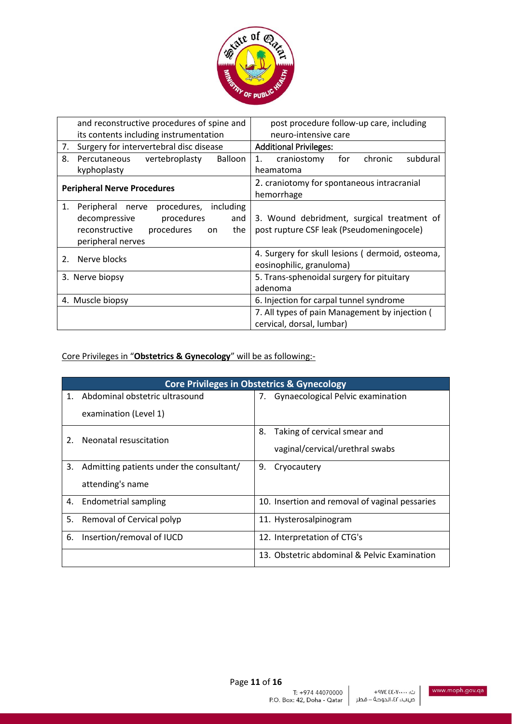

|                                    | and reconstructive procedures of spine and                                                                                                           | post procedure follow-up care, including                                                |
|------------------------------------|------------------------------------------------------------------------------------------------------------------------------------------------------|-----------------------------------------------------------------------------------------|
|                                    | its contents including instrumentation                                                                                                               | neuro-intensive care                                                                    |
| 7.                                 | Surgery for intervertebral disc disease                                                                                                              | <b>Additional Privileges:</b>                                                           |
| 8.                                 | Balloon<br>Percutaneous<br>vertebroplasty                                                                                                            | subdural<br>craniostomy<br>for<br>chronic<br>1.                                         |
|                                    | kyphoplasty                                                                                                                                          | heamatoma                                                                               |
| <b>Peripheral Nerve Procedures</b> |                                                                                                                                                      | 2. craniotomy for spontaneous intracranial<br>hemorrhage                                |
| 1.                                 | procedures,<br>including<br>Peripheral nerve<br>procedures<br>decompressive<br>and<br>procedures<br>reconstructive<br>the<br>on<br>peripheral nerves | 3. Wound debridment, surgical treatment of<br>post rupture CSF leak (Pseudomeningocele) |
| $2^{\circ}$                        | Nerve blocks                                                                                                                                         | 4. Surgery for skull lesions (dermoid, osteoma,<br>eosinophilic, granuloma)             |
|                                    | 3. Nerve biopsy                                                                                                                                      | 5. Trans-sphenoidal surgery for pituitary<br>adenoma                                    |
|                                    | 4. Muscle biopsy                                                                                                                                     | 6. Injection for carpal tunnel syndrome                                                 |
|                                    |                                                                                                                                                      | 7. All types of pain Management by injection (<br>cervical, dorsal, lumbar)             |

# Core Privileges in "**Obstetrics & Gynecology**" will be as following:-

|    | <b>Core Privileges in Obstetrics &amp; Gynecology</b> |    |                                                |  |
|----|-------------------------------------------------------|----|------------------------------------------------|--|
| 1. | Abdominal obstetric ultrasound                        |    | 7. Gynaecological Pelvic examination           |  |
|    | examination (Level 1)                                 |    |                                                |  |
|    | Neonatal resuscitation                                | 8. | Taking of cervical smear and                   |  |
|    |                                                       |    | vaginal/cervical/urethral swabs                |  |
| 3. | Admitting patients under the consultant/              | 9. | Cryocautery                                    |  |
|    | attending's name                                      |    |                                                |  |
| 4. | <b>Endometrial sampling</b>                           |    | 10. Insertion and removal of vaginal pessaries |  |
| 5. | Removal of Cervical polyp                             |    | 11. Hysterosalpinogram                         |  |
| 6. | Insertion/removal of IUCD                             |    | 12. Interpretation of CTG's                    |  |
|    |                                                       |    | 13. Obstetric abdominal & Pelvic Examination   |  |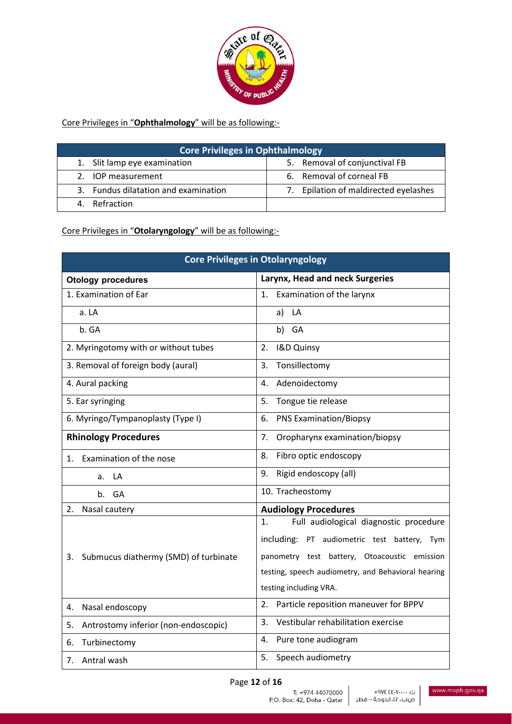

Core Privileges in "**Ophthalmology**" will be as following:-

| <b>Core Privileges in Ophthalmology</b> |                                       |  |
|-----------------------------------------|---------------------------------------|--|
| 1. Slit lamp eye examination            | 5. Removal of conjunctival FB         |  |
| 2. IOP measurement                      | 6. Removal of corneal FB              |  |
| 3. Fundus dilatation and examination    | 7. Epilation of maldirected eyelashes |  |
| 4. Refraction                           |                                       |  |

Core Privileges in "**Otolaryngology**" will be as following:-

| <b>Core Privileges in Otolaryngology</b>    |                                                                                                                                                                                                                             |  |
|---------------------------------------------|-----------------------------------------------------------------------------------------------------------------------------------------------------------------------------------------------------------------------------|--|
| <b>Otology procedures</b>                   | Larynx, Head and neck Surgeries                                                                                                                                                                                             |  |
| 1. Examination of Ear                       | Examination of the larynx<br>1.                                                                                                                                                                                             |  |
| a. LA                                       | LA<br>a)                                                                                                                                                                                                                    |  |
| b. GA                                       | b)<br>GA                                                                                                                                                                                                                    |  |
| 2. Myringotomy with or without tubes        | I&D Quinsy<br>2.                                                                                                                                                                                                            |  |
| 3. Removal of foreign body (aural)          | Tonsillectomy<br>3.                                                                                                                                                                                                         |  |
| 4. Aural packing                            | Adenoidectomy<br>4.                                                                                                                                                                                                         |  |
| 5. Ear syringing                            | Tongue tie release<br>5.                                                                                                                                                                                                    |  |
| 6. Myringo/Tympanoplasty (Type I)           | <b>PNS Examination/Biopsy</b><br>6.                                                                                                                                                                                         |  |
| <b>Rhinology Procedures</b>                 | Oropharynx examination/biopsy<br>7.                                                                                                                                                                                         |  |
| Examination of the nose<br>$1_{-}$          | Fibro optic endoscopy<br>8.                                                                                                                                                                                                 |  |
| LА<br>a.                                    | Rigid endoscopy (all)<br>9.                                                                                                                                                                                                 |  |
| b. GA                                       | 10. Tracheostomy                                                                                                                                                                                                            |  |
| Nasal cautery<br>2.                         | <b>Audiology Procedures</b>                                                                                                                                                                                                 |  |
| Submucus diathermy (SMD) of turbinate<br>3. | Full audiological diagnostic procedure<br>1.<br>including: PT audiometric test battery, Tym<br>panometry test battery, Otoacoustic emission<br>testing, speech audiometry, and Behavioral hearing<br>testing including VRA. |  |
| Nasal endoscopy<br>4.                       | Particle reposition maneuver for BPPV<br>$\overline{2}$ .                                                                                                                                                                   |  |
| Antrostomy inferior (non-endoscopic)<br>5.  | Vestibular rehabilitation exercise<br>3.                                                                                                                                                                                    |  |
| Turbinectomy<br>6.                          | Pure tone audiogram<br>4.                                                                                                                                                                                                   |  |
| Antral wash<br>7.                           | Speech audiometry<br>5.                                                                                                                                                                                                     |  |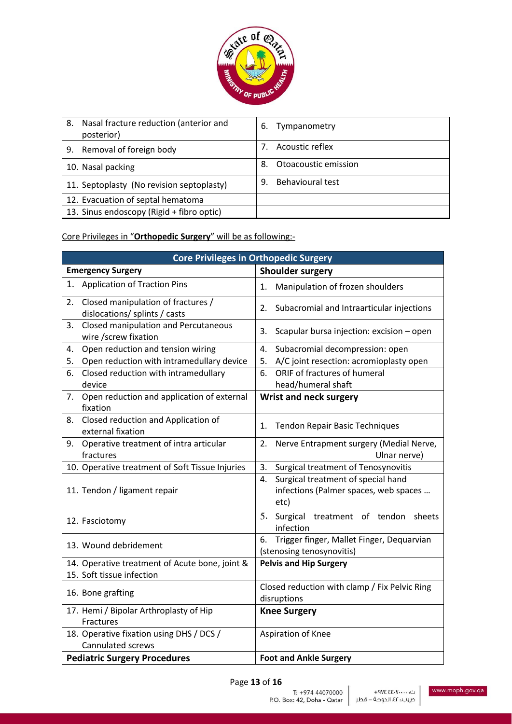

| Nasal fracture reduction (anterior and<br>8.<br>posterior) | Tympanometry<br>6.            |
|------------------------------------------------------------|-------------------------------|
| Removal of foreign body<br>9.                              | Acoustic reflex               |
| 10. Nasal packing                                          | Otoacoustic emission<br>8.    |
| 11. Septoplasty (No revision septoplasty)                  | <b>Behavioural test</b><br>9. |
| 12. Evacuation of septal hematoma                          |                               |
| 13. Sinus endoscopy (Rigid + fibro optic)                  |                               |

Core Privileges in "**Orthopedic Surgery**" will be as following:-

| <b>Core Privileges in Orthopedic Surgery</b>                                |                                                                                           |
|-----------------------------------------------------------------------------|-------------------------------------------------------------------------------------------|
| <b>Emergency Surgery</b>                                                    | <b>Shoulder surgery</b>                                                                   |
| <b>Application of Traction Pins</b><br>1.                                   | Manipulation of frozen shoulders<br>1.                                                    |
| Closed manipulation of fractures /<br>2.<br>dislocations/ splints / casts   | Subacromial and Intraarticular injections<br>2.                                           |
| Closed manipulation and Percutaneous<br>3.<br>wire /screw fixation          | Scapular bursa injection: excision - open<br>3.                                           |
| Open reduction and tension wiring<br>4.                                     | Subacromial decompression: open<br>4.                                                     |
| 5.<br>Open reduction with intramedullary device                             | A/C joint resection: acromioplasty open<br>5.                                             |
| 6.<br>Closed reduction with intramedullary<br>device                        | ORIF of fractures of humeral<br>6.<br>head/humeral shaft                                  |
| Open reduction and application of external<br>7.<br>fixation                | <b>Wrist and neck surgery</b>                                                             |
| Closed reduction and Application of<br>8.<br>external fixation              | 1.<br><b>Tendon Repair Basic Techniques</b>                                               |
| Operative treatment of intra articular<br>9.<br>fractures                   | 2.<br>Nerve Entrapment surgery (Medial Nerve,<br>Ulnar nerve)                             |
| 10. Operative treatment of Soft Tissue Injuries                             | 3.<br>Surgical treatment of Tenosynovitis                                                 |
| 11. Tendon / ligament repair                                                | Surgical treatment of special hand<br>4.<br>infections (Palmer spaces, web spaces<br>etc) |
| 12. Fasciotomy                                                              | Surgical treatment of tendon<br>5.<br>sheets<br>infection                                 |
| 13. Wound debridement                                                       | Trigger finger, Mallet Finger, Dequarvian<br>6.<br>(stenosing tenosynovitis)              |
| 14. Operative treatment of Acute bone, joint &<br>15. Soft tissue infection | <b>Pelvis and Hip Surgery</b>                                                             |
| 16. Bone grafting                                                           | Closed reduction with clamp / Fix Pelvic Ring<br>disruptions                              |
| 17. Hemi / Bipolar Arthroplasty of Hip<br>Fractures                         | <b>Knee Surgery</b>                                                                       |
| 18. Operative fixation using DHS / DCS /<br>Cannulated screws               | Aspiration of Knee                                                                        |
| <b>Pediatric Surgery Procedures</b>                                         | <b>Foot and Ankle Surgery</b>                                                             |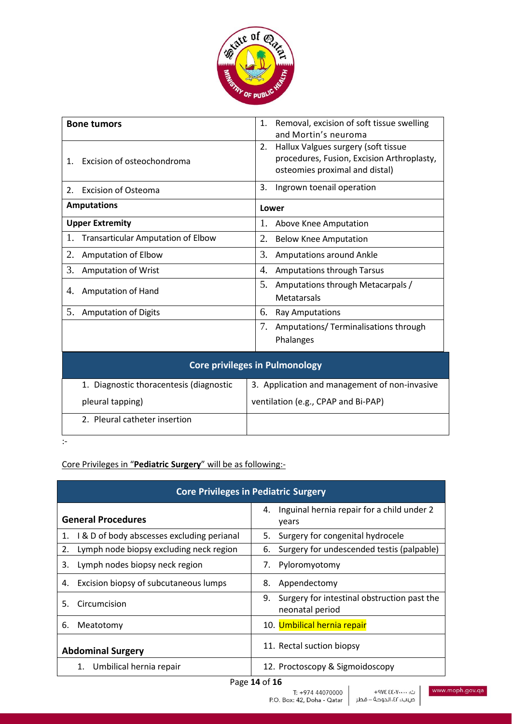

|                                       | <b>Bone tumors</b>                        | Removal, excision of soft tissue swelling<br>1.<br>and Mortin's neuroma                                                   |
|---------------------------------------|-------------------------------------------|---------------------------------------------------------------------------------------------------------------------------|
| 1.                                    | Excision of osteochondroma                | Hallux Valgues surgery (soft tissue<br>2.<br>procedures, Fusion, Excision Arthroplasty,<br>osteomies proximal and distal) |
| 2.                                    | <b>Excision of Osteoma</b>                | Ingrown toenail operation<br>3.                                                                                           |
|                                       | <b>Amputations</b>                        | Lower                                                                                                                     |
|                                       | <b>Upper Extremity</b>                    | 1.<br>Above Knee Amputation                                                                                               |
| 1.                                    | <b>Transarticular Amputation of Elbow</b> | 2.<br><b>Below Knee Amputation</b>                                                                                        |
| 2.                                    | Amputation of Elbow                       | 3.<br>Amputations around Ankle                                                                                            |
| 3.                                    | <b>Amputation of Wrist</b>                | 4.<br><b>Amputations through Tarsus</b>                                                                                   |
| 4.                                    | Amputation of Hand                        | 5.<br>Amputations through Metacarpals /<br>Metatarsals                                                                    |
| 5.                                    | <b>Amputation of Digits</b>               | 6.<br>Ray Amputations                                                                                                     |
|                                       |                                           | 7.<br>Amputations/ Terminalisations through<br>Phalanges                                                                  |
| <b>Core privileges in Pulmonology</b> |                                           |                                                                                                                           |
|                                       | 1. Diagnostic thoracentesis (diagnostic   | 3. Application and management of non-invasive                                                                             |
|                                       | pleural tapping)                          | ventilation (e.g., CPAP and Bi-PAP)                                                                                       |
|                                       | 2. Pleural catheter insertion             |                                                                                                                           |

:-

# Core Privileges in "**Pediatric Surgery**" will be as following:-

| <b>Core Privileges in Pediatric Surgery</b>      |                                                                      |  |
|--------------------------------------------------|----------------------------------------------------------------------|--|
| <b>General Procedures</b>                        | Inguinal hernia repair for a child under 2<br>4.<br>years            |  |
| I & D of body abscesses excluding perianal<br>1. | Surgery for congenital hydrocele<br>5.                               |  |
| Lymph node biopsy excluding neck region<br>2.    | Surgery for undescended testis (palpable)<br>6.                      |  |
| Lymph nodes biopsy neck region<br>3.             | 7.<br>Pyloromyotomy                                                  |  |
| Excision biopsy of subcutaneous lumps<br>4.      | Appendectomy<br>8.                                                   |  |
| Circumcision<br>5.                               | Surgery for intestinal obstruction past the<br>9.<br>neonatal period |  |
| 6.<br>Meatotomy                                  | 10. Umbilical hernia repair                                          |  |
| <b>Abdominal Surgery</b>                         | 11. Rectal suction biopsy                                            |  |
| Umbilical hernia repair<br>1.                    | 12. Proctoscopy & Sigmoidoscopy                                      |  |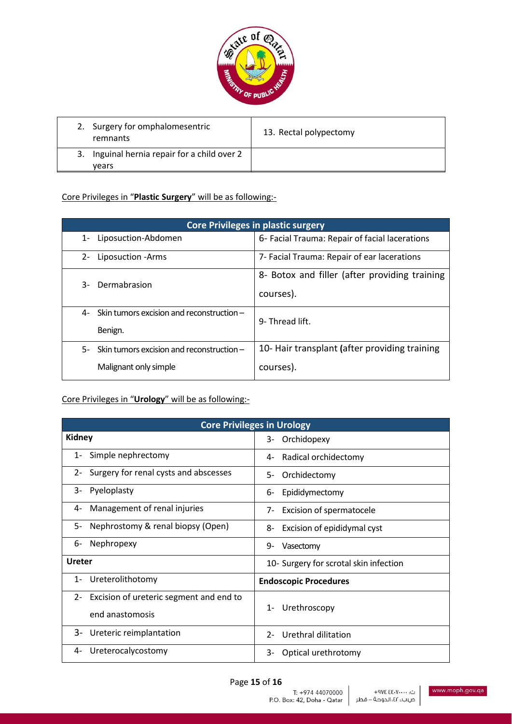

| 2. Surgery for omphalomesentric<br>remnants           | 13. Rectal polypectomy |
|-------------------------------------------------------|------------------------|
| 3. Inguinal hernia repair for a child over 2<br>vears |                        |

# Core Privileges in "**Plastic Surgery**" will be as following:-

| <b>Core Privileges in plastic surgery</b>                                |                                                            |
|--------------------------------------------------------------------------|------------------------------------------------------------|
| Liposuction-Abdomen<br>$1-$                                              | 6- Facial Trauma: Repair of facial lacerations             |
| $2 -$<br>Liposuction - Arms                                              | 7- Facial Trauma: Repair of ear lacerations                |
| Dermabrasion<br>3-                                                       | 8- Botox and filler (after providing training<br>courses). |
| Skin tumors excision and reconstruction -<br>4-<br>Benign.               | 9- Thread lift.                                            |
| Skin tumors excision and reconstruction -<br>5-<br>Malignant only simple | 10- Hair transplant (after providing training<br>courses). |

#### Core Privileges in "**Urology**" will be as following:-

| <b>Core Privileges in Urology</b>                |                                        |
|--------------------------------------------------|----------------------------------------|
| <b>Kidney</b>                                    | Orchidopexy<br>3-                      |
| Simple nephrectomy                               | Radical orchidectomy                   |
| $1 -$                                            | 4-                                     |
| Surgery for renal cysts and abscesses            | Orchidectomy                           |
| $2 -$                                            | 5-                                     |
| Pyeloplasty                                      | Epididymectomy                         |
| 3-                                               | 6-                                     |
| Management of renal injuries                     | Excision of spermatocele               |
| 4-                                               | 7-                                     |
| Nephrostomy & renal biopsy (Open)                | 8-                                     |
| - 5                                              | Excision of epididymal cyst            |
| Nephropexy                                       | 9-                                     |
| 6-                                               | Vasectomy                              |
| <b>Ureter</b>                                    | 10- Surgery for scrotal skin infection |
| Ureterolithotomy<br>$1 -$                        | <b>Endoscopic Procedures</b>           |
| Excision of ureteric segment and end to<br>$2 -$ | Urethroscopy<br>$1 -$                  |
| end anastomosis                                  |                                        |
| 3-                                               | Urethral dilitation                    |
| Ureteric reimplantation                          | $2-$                                   |
| Ureterocalycostomy                               | Optical urethrotomy                    |
| 4-                                               | 3-                                     |